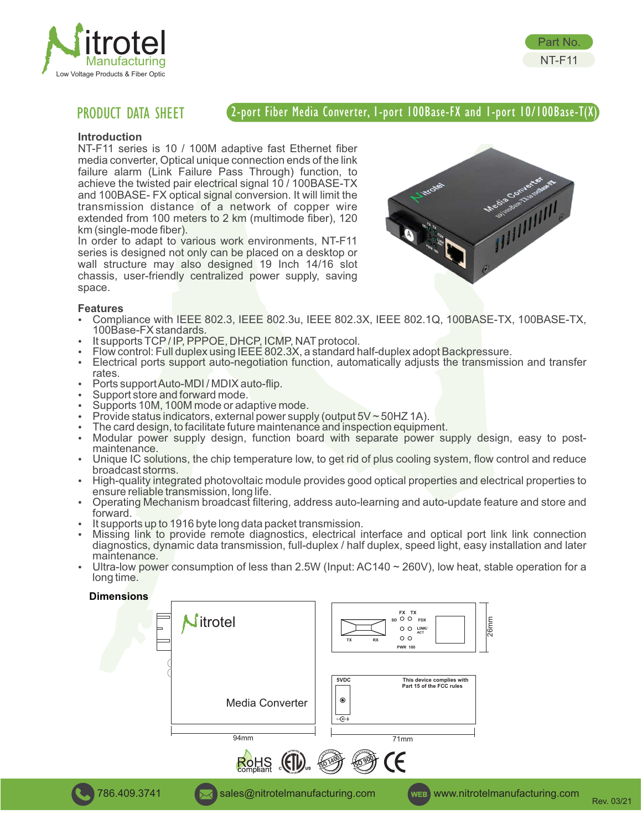



## 2-port Fiber Media Converter, 1-port 100Base-FX and 1-port 10/100Base-T(X)

## **Introduction**

NT-F11 series is 10 / 100M adaptive fast Ethernet fiber media converter, Optical unique connection ends of the link failure alarm (Link Failure Pass Through) function, to achieve the twisted pair electrical signal 10 / 100BASE-TX and 100BASE- FX optical signal conversion. It will limit the transmission distance of a network of copper wire extended from 100 meters to 2 km (multimode fiber), 120 km (single-mode fiber).

In order to adapt to various work environments, NT-F11 series is designed not only can be placed on a desktop or wall structure may also designed 19 Inch 14/16 slot chassis, user-friendly centralized power supply, saving space.



Part No. NT-F11

## **Features**

- Ÿ Compliance with IEEE 802.3, IEEE 802.3u, IEEE 802.3X, IEEE 802.1Q, 100BASE-TX, 100BASE-TX, 100Base-FX standards.
- It supports TCP/IP, PPPOE, DHCP, ICMP, NAT protocol.
- Flow control: Full duplex using IEEE 802.3X, a standard half-duplex adopt Backpressure.
- Electrical ports support auto-negotiation function, automatically adjusts the transmission and transfer rates.
- Ports support Auto-MDI / MDIX auto-flip.
- Support store and forward mode.
- Supports 10M, 100M mode or adaptive mode.
- Provide status indicators, external power supply (output  $5V \sim 50$ HZ 1A).
- The card design, to facilitate future maintenance and inspection equipment.
- Modular power supply design, function board with separate power supply design, easy to postmaintenance.
- Unique IC solutions, the chip temperature low, to get rid of plus cooling system, flow control and reduce broadcast storms.
- High-quality integrated photovoltaic module provides good optical properties and electrical properties to ensure reliable transmission, long life.
- Operating Mechanism broadcast filtering, address auto-learning and auto-update feature and store and forward.
- It supports up to 1916 byte long data packet transmission.
- Missing link to provide remote diagnostics, electrical interface and optical port link link connection diagnostics, dynamic data transmission, full-duplex / half duplex, speed light, easy installation and later maintenance.
- Ultra-low power consumption of less than 2.5W (Input: AC140  $\sim$  260V), low heat, stable operation for a long time.

**Dimensions**